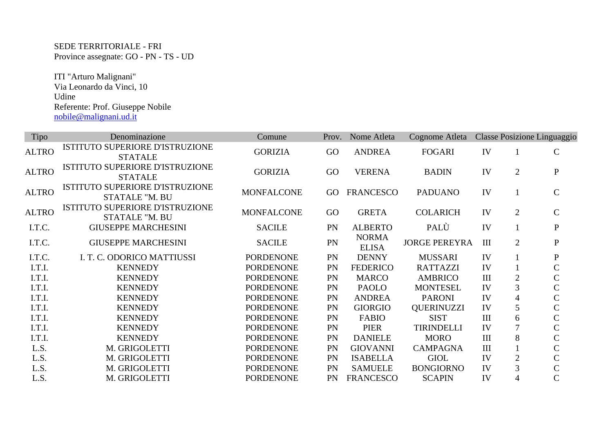SEDE TERRITORIALE - FRI Province assegnate: GO - PN - TS - UD

 ITI "Arturo Malignani" Via Leonardo da Vinci, 10 Udine Referente: Prof. Giuseppe Nobile nobile@malignani.ud.it

| Tipo         | Denominazione                                            | Comune            | Prov.     | Nome Atleta                  | Cognome Atleta       |     |                | Classe Posizione Linguaggio |
|--------------|----------------------------------------------------------|-------------------|-----------|------------------------------|----------------------|-----|----------------|-----------------------------|
| <b>ALTRO</b> | ISTITUTO SUPERIORE D'ISTRUZIONE<br><b>STATALE</b>        | <b>GORIZIA</b>    | GO        | <b>ANDREA</b>                | <b>FOGARI</b>        | IV  |                | $\mathcal{C}$               |
| <b>ALTRO</b> | ISTITUTO SUPERIORE D'ISTRUZIONE<br><b>STATALE</b>        | <b>GORIZIA</b>    | GO        | <b>VERENA</b>                | <b>BADIN</b>         | IV  | $\overline{2}$ | $\mathbf{P}$                |
| <b>ALTRO</b> | ISTITUTO SUPERIORE D'ISTRUZIONE<br><b>STATALE "M. BU</b> | <b>MONFALCONE</b> | GO        | <b>FRANCESCO</b>             | <b>PADUANO</b>       | IV  |                | $\mathsf{C}$                |
| <b>ALTRO</b> | ISTITUTO SUPERIORE D'ISTRUZIONE<br>STATALE "M. BU        | <b>MONFALCONE</b> | GO        | <b>GRETA</b>                 | <b>COLARICH</b>      | IV  | $\overline{2}$ | $\mathsf{C}$                |
| I.T.C.       | <b>GIUSEPPE MARCHESINI</b>                               | <b>SACILE</b>     | PN        | <b>ALBERTO</b>               | PALÙ                 | IV  |                | $\mathbf{P}$                |
| I.T.C.       | <b>GIUSEPPE MARCHESINI</b>                               | <b>SACILE</b>     | PN        | <b>NORMA</b><br><b>ELISA</b> | <b>JORGE PEREYRA</b> | III | $\overline{2}$ | $\mathbf{P}$                |
| I.T.C.       | I. T. C. ODORICO MATTIUSSI                               | <b>PORDENONE</b>  | PN        | <b>DENNY</b>                 | <b>MUSSARI</b>       | IV  |                | $\mathbf{P}$                |
| I.T.I.       | <b>KENNEDY</b>                                           | <b>PORDENONE</b>  | PN        | <b>FEDERICO</b>              | <b>RATTAZZI</b>      | IV  |                | $\mathsf{C}$                |
| I.T.I.       | <b>KENNEDY</b>                                           | <b>PORDENONE</b>  | PN        | <b>MARCO</b>                 | <b>AMBRICO</b>       | III | $\overline{2}$ | $\mathbf C$                 |
| I.T.I.       | <b>KENNEDY</b>                                           | <b>PORDENONE</b>  | PN        | <b>PAOLO</b>                 | <b>MONTESEL</b>      | IV  | 3              | $\mathsf{C}$                |
| I.T.I.       | <b>KENNEDY</b>                                           | <b>PORDENONE</b>  | PN        | <b>ANDREA</b>                | <b>PARONI</b>        | IV  | $\overline{4}$ | $\mathsf C$                 |
| I.T.I.       | <b>KENNEDY</b>                                           | <b>PORDENONE</b>  | PN        | <b>GIORGIO</b>               | <b>QUERINUZZI</b>    | IV  | 5              | $\mathsf C$                 |
| I.T.I.       | <b>KENNEDY</b>                                           | <b>PORDENONE</b>  | PN        | <b>FABIO</b>                 | <b>SIST</b>          | III | 6              | $\mathsf C$                 |
| I.T.I.       | <b>KENNEDY</b>                                           | <b>PORDENONE</b>  | PN        | <b>PIER</b>                  | <b>TIRINDELLI</b>    | IV  | $\overline{7}$ | $\mathbf C$                 |
| I.T.I.       | <b>KENNEDY</b>                                           | <b>PORDENONE</b>  | <b>PN</b> | <b>DANIELE</b>               | <b>MORO</b>          | III | 8              | $\mathsf C$                 |
| L.S.         | M. GRIGOLETTI                                            | <b>PORDENONE</b>  | <b>PN</b> | <b>GIOVANNI</b>              | <b>CAMPAGNA</b>      | III |                | $\mathsf C$                 |
| L.S.         | M. GRIGOLETTI                                            | <b>PORDENONE</b>  | <b>PN</b> | <b>ISABELLA</b>              | <b>GIOL</b>          | IV  | $\overline{2}$ | $\mathsf C$                 |
| L.S.         | M. GRIGOLETTI                                            | <b>PORDENONE</b>  | PN        | <b>SAMUELE</b>               | <b>BONGIORNO</b>     | IV  | 3              | $\mathsf C$                 |
| L.S.         | M. GRIGOLETTI                                            | <b>PORDENONE</b>  | <b>PN</b> | <b>FRANCESCO</b>             | <b>SCAPIN</b>        | IV  | 4              | $\mathsf{C}$                |